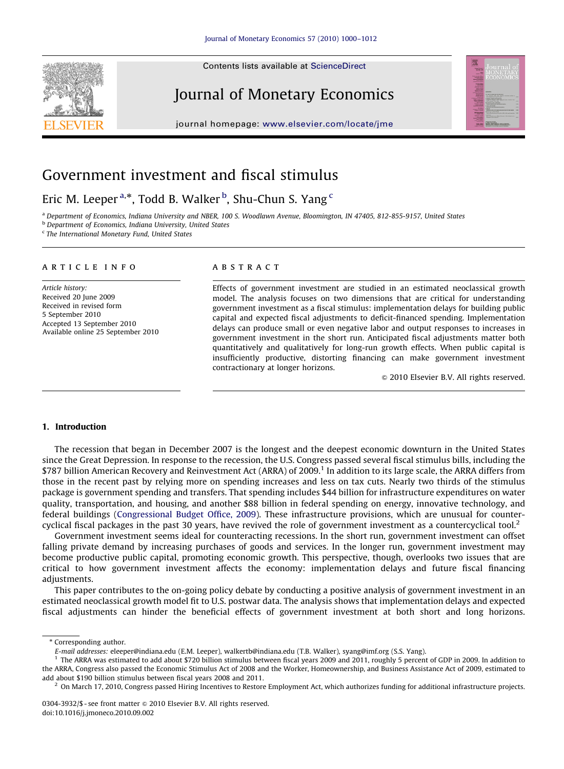Contents lists available at ScienceDirect

# Journal of Monetary Economics

journal homepage: <www.elsevier.com/locate/jme>





# Eric M. Leeper <sup>a,\*</sup>, Todd B. Walker <sup>b</sup>, Shu-Chun S. Yang  $^{\rm c}$

a Department of Economics, Indiana University and NBER, 100 S. Woodlawn Avenue, Bloomington, IN 47405, 812-855-9157, United States

b Department of Economics, Indiana University, United States

<sup>c</sup> The International Monetary Fund, United States

## article info

Article history: Received 20 June 2009 Received in revised form 5 September 2010 Accepted 13 September 2010 Available online 25 September 2010

# **ABSTRACT**

Effects of government investment are studied in an estimated neoclassical growth model. The analysis focuses on two dimensions that are critical for understanding government investment as a fiscal stimulus: implementation delays for building public capital and expected fiscal adjustments to deficit-financed spending. Implementation delays can produce small or even negative labor and output responses to increases in government investment in the short run. Anticipated fiscal adjustments matter both quantitatively and qualitatively for long-run growth effects. When public capital is insufficiently productive, distorting financing can make government investment contractionary at longer horizons.

 $\odot$  2010 Elsevier B.V. All rights reserved.

### 1. Introduction

The recession that began in December 2007 is the longest and the deepest economic downturn in the United States since the Great Depression. In response to the recession, the U.S. Congress passed several fiscal stimulus bills, including the \$787 billion American Recovery and Reinvestment Act (ARRA) of 2009.<sup>1</sup> In addition to its large scale, the ARRA differs from those in the recent past by relying more on spending increases and less on tax cuts. Nearly two thirds of the stimulus package is government spending and transfers. That spending includes \$44 billion for infrastructure expenditures on water quality, transportation, and housing, and another \$88 billion in federal spending on energy, innovative technology, and federal buildings [\(Congressional Budget Office, 2009](#page-11-0)). These infrastructure provisions, which are unusual for countercyclical fiscal packages in the past 30 years, have revived the role of government investment as a countercyclical tool. $2$ 

Government investment seems ideal for counteracting recessions. In the short run, government investment can offset falling private demand by increasing purchases of goods and services. In the longer run, government investment may become productive public capital, promoting economic growth. This perspective, though, overlooks two issues that are critical to how government investment affects the economy: implementation delays and future fiscal financing adjustments.

This paper contributes to the on-going policy debate by conducting a positive analysis of government investment in an estimated neoclassical growth model fit to U.S. postwar data. The analysis shows that implementation delays and expected fiscal adjustments can hinder the beneficial effects of government investment at both short and long horizons.

<sup>\*</sup> Corresponding author.

E-mail addresses: [eleeper@indiana.edu \(E.M. Leeper\),](mailto:eleeper@indiana.edu) [walkertb@indiana.edu \(T.B. Walker\)](mailto:walkertb@indiana.edu), [syang@imf.org \(S.S. Yang\)](mailto:syang@imf.org).

<sup>&</sup>lt;sup>1</sup> The ARRA was estimated to add about \$720 billion stimulus between fiscal years 2009 and 2011, roughly 5 percent of GDP in 2009. In addition to the ARRA, Congress also passed the Economic Stimulus Act of 2008 and the Worker, Homeownership, and Business Assistance Act of 2009, estimated to add about \$190 billion stimulus between fiscal years 2008 and 2011.

<sup>&</sup>lt;sup>2</sup> On March 17, 2010, Congress passed Hiring Incentives to Restore Employment Act, which authorizes funding for additional infrastructure projects.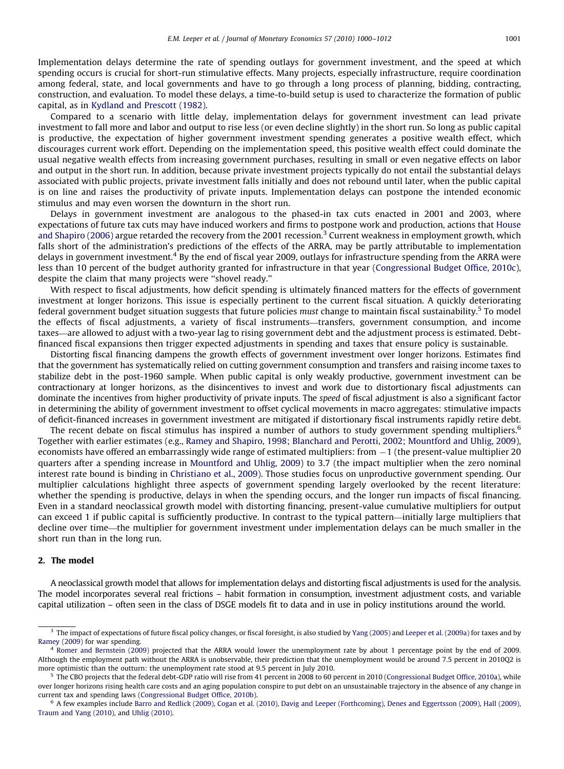Implementation delays determine the rate of spending outlays for government investment, and the speed at which spending occurs is crucial for short-run stimulative effects. Many projects, especially infrastructure, require coordination among federal, state, and local governments and have to go through a long process of planning, bidding, contracting, construction, and evaluation. To model these delays, a time-to-build setup is used to characterize the formation of public capital, as in [Kydland and Prescott \(1982\).](#page-11-0)

Compared to a scenario with little delay, implementation delays for government investment can lead private investment to fall more and labor and output to rise less (or even decline slightly) in the short run. So long as public capital is productive, the expectation of higher government investment spending generates a positive wealth effect, which discourages current work effort. Depending on the implementation speed, this positive wealth effect could dominate the usual negative wealth effects from increasing government purchases, resulting in small or even negative effects on labor and output in the short run. In addition, because private investment projects typically do not entail the substantial delays associated with public projects, private investment falls initially and does not rebound until later, when the public capital is on line and raises the productivity of private inputs. Implementation delays can postpone the intended economic stimulus and may even worsen the downturn in the short run.

Delays in government investment are analogous to the phased-in tax cuts enacted in 2001 and 2003, where expectations of future tax cuts may have induced workers and firms to postpone work and production, actions that [House](#page-11-0) [and Shapiro \(2006\)](#page-11-0) argue retarded the recovery from the 2001 recession.<sup>3</sup> Current weakness in employment growth, which falls short of the administration's predictions of the effects of the ARRA, may be partly attributable to implementation delays in government investment.<sup>4</sup> By the end of fiscal year 2009, outlays for infrastructure spending from the ARRA were less than 10 percent of the budget authority granted for infrastructure in that year ([Congressional Budget Office, 2010c](#page-11-0)), despite the claim that many projects were ''shovel ready.''

With respect to fiscal adjustments, how deficit spending is ultimately financed matters for the effects of government investment at longer horizons. This issue is especially pertinent to the current fiscal situation. A quickly deteriorating federal government budget situation suggests that future policies must change to maintain fiscal sustainability.<sup>5</sup> To model the effects of fiscal adjustments, a variety of fiscal instruments—transfers, government consumption, and income taxes—are allowed to adjust with a two-year lag to rising government debt and the adjustment process is estimated. Debtfinanced fiscal expansions then trigger expected adjustments in spending and taxes that ensure policy is sustainable.

Distorting fiscal financing dampens the growth effects of government investment over longer horizons. Estimates find that the government has systematically relied on cutting government consumption and transfers and raising income taxes to stabilize debt in the post-1960 sample. When public capital is only weakly productive, government investment can be contractionary at longer horizons, as the disincentives to invest and work due to distortionary fiscal adjustments can dominate the incentives from higher productivity of private inputs. The speed of fiscal adjustment is also a significant factor in determining the ability of government investment to offset cyclical movements in macro aggregates: stimulative impacts of deficit-financed increases in government investment are mitigated if distortionary fiscal instruments rapidly retire debt.

The recent debate on fiscal stimulus has inspired a number of authors to study government spending multipliers.<sup>6</sup> Together with earlier estimates (e.g., [Ramey and Shapiro, 1998; Blanchard and Perotti, 2002; Mountford and Uhlig, 2009](#page-12-0)), economists have offered an embarrassingly wide range of estimated multipliers: from -1 (the present-value multiplier 20 quarters after a spending increase in [Mountford and Uhlig, 2009](#page-12-0)) to 3.7 (the impact multiplier when the zero nominal interest rate bound is binding in [Christiano et al., 2009\)](#page-11-0). Those studies focus on unproductive government spending. Our multiplier calculations highlight three aspects of government spending largely overlooked by the recent literature: whether the spending is productive, delays in when the spending occurs, and the longer run impacts of fiscal financing. Even in a standard neoclassical growth model with distorting financing, present-value cumulative multipliers for output can exceed 1 if public capital is sufficiently productive. In contrast to the typical pattern—initially large multipliers that decline over time—the multiplier for government investment under implementation delays can be much smaller in the short run than in the long run.

## 2. The model

A neoclassical growth model that allows for implementation delays and distorting fiscal adjustments is used for the analysis. The model incorporates several real frictions – habit formation in consumption, investment adjustment costs, and variable capital utilization – often seen in the class of DSGE models fit to data and in use in policy institutions around the world.

 $3$  The impact of expectations of future fiscal policy changes, or fiscal foresight, is also studied by [Yang \(2005\)](#page-12-0) and [Leeper et al. \(2009a\)](#page-12-0) for taxes and by [Ramey \(2009\)](#page-12-0) for war spending.

<sup>4</sup> [Romer and Bernstein \(2009\)](#page-12-0) projected that the ARRA would lower the unemployment rate by about 1 percentage point by the end of 2009. Although the employment path without the ARRA is unobservable, their prediction that the unemployment would be around 7.5 percent in 2010Q2 is more optimistic than the outturn: the unemployment rate stood at 9.5 percent in July 2010.

<sup>5</sup> The CBO projects that the federal debt-GDP ratio will rise from 41 percent in 2008 to 60 percent in 2010 [\(Congressional Budget Office, 2010a](#page-11-0)), while over longer horizons rising health care costs and an aging population conspire to put debt on an unsustainable trajectory in the absence of any change in current tax and spending laws ([Congressional Budget Office, 2010b\)](#page-11-0).

<sup>6</sup> A few examples include [Barro and Redlick \(2009\)](#page-11-0), [Cogan et al. \(2010\),](#page-11-0) [Davig and Leeper \(Forthcoming\)](#page-11-0), [Denes and Eggertsson \(2009\)](#page-11-0), [Hall \(2009\),](#page-11-0) [Traum and Yang \(2010\)](#page-12-0), and [Uhlig \(2010\)](#page-12-0).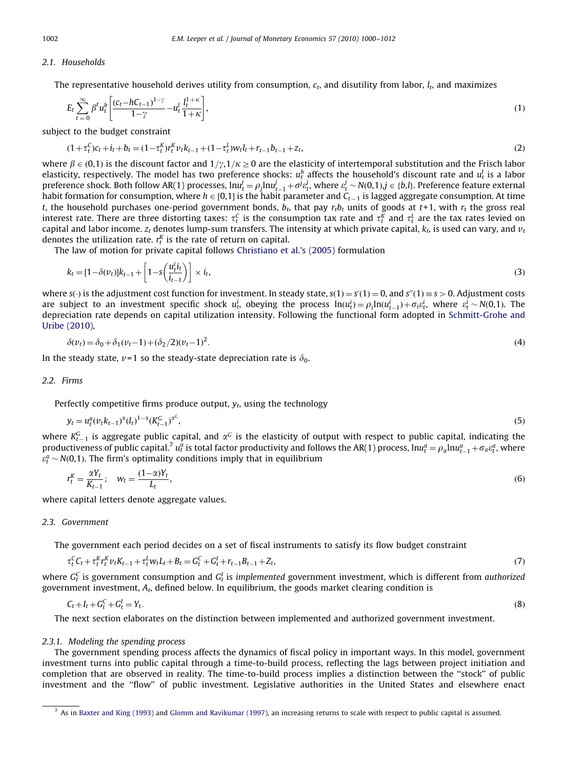### 2.1. Households

The representative household derives utility from consumption,  $c_t$ , and disutility from labor,  $l_t$ , and maximizes

$$
E_t \sum_{t=0}^{\infty} \beta^t u_t^b \left[ \frac{\left( C_t - h C_{t-1} \right)^{1-\gamma}}{1-\gamma} - u_t^l \frac{l_t^{1+\kappa}}{1+\kappa} \right],\tag{1}
$$

subject to the budget constraint

$$
(1 + \tau_t^C)c_t + i_t + b_t = (1 - \tau_t^K)r_t^K v_t k_{t-1} + (1 - \tau_t^L)w_t l_t + r_{t-1} b_{t-1} + z_t,
$$
\n(2)

where  $\beta \in (0,1)$  is the discount factor and  $1/\gamma, 1/k \ge 0$  are the elasticity of intertemporal substitution and the Frisch labor elasticity, respectively. The model has two preference shocks:  $u^b_t$  affects the household's discount rate and  $u^l_t$  is a labor preference shock. Both follow AR(1) processes, ln $u_t^j=\rho_j$ ln $u_{t-1}^j+\sigma^j e_t^j$ , where  $e_t^j\sim N(0,1)$ , $j\in\{b,l\}.$  Preference feature external habit formation for consumption, where  $h\in [0,1]$  is the habit parameter and  $C_{t-1}$  is lagged aggregate consumption. At time t, the household purchases one-period government bonds,  $b_t$ , that pay  $r_t b_t$  units of goods at  $t+1$ , with  $r_t$  the gross real interest rate. There are three distorting taxes:  $\tau_t^C$  is the consumption tax rate and  $\tau_t^K$  and  $\tau_t^L$  are the tax rates levied on capital and labor income.  $z_t$  denotes lump-sum transfers. The intensity at which private capital,  $k_b$ , is used can vary, and  $v_t$ denotes the utilization rate.  $r_t^K$  is the rate of return on capital.

The law of motion for private capital follows [Christiano et al.'s \(2005\)](#page-11-0) formulation

$$
k_t = [1 - \delta(v_t)]k_{t-1} + \left[1 - s\left(\frac{u_t^i i_t}{i_{t-1}}\right)\right] \times i_t,
$$
\n(3)

where s(·) is the adjustment cost function for investment. In steady state,  $s(1) = s'(1) = 0$ , and s''(1) = s > 0. Adjustment costs are subject to an investment specific shock  $u_t^i$ , obeying the process  $ln(u_t^i) = \rho_i ln(u_{t-1}^i) + \sigma_i \varepsilon_t^i$ , where  $\varepsilon_t^i \sim N(0,1)$ . The depreciation rate depends on capital utilization intensity. Following the functional form adopted in [Schmitt-Grohe and](#page-12-0) [Uribe \(2010\),](#page-12-0)

$$
\delta(v_t) = \delta_0 + \delta_1(v_t - 1) + (\delta_2/2)(v_t - 1)^2. \tag{4}
$$

In the steady state,  $\nu=1$  so the steady-state depreciation rate is  $\delta_0$ .

2.2. Firms

Perfectly competitive firms produce output,  $y_t$ , using the technology

$$
y_t = u_t^a (v_t k_{t-1})^\alpha (l_t)^{1-\alpha} (K_{t-1}^G)^{\alpha^G},\tag{5}
$$

where  $K_{t-1}^G$  is aggregate public capital, and  $\alpha^G$  is the elasticity of output with respect to public capital, indicating the productiveness of public capital.<sup>7</sup>  $u_t^a$  is total factor productivity and follows the AR(1) process, ln $u_t^a=\rho_a$ ln $u_{t-1}^a+\sigma_a\varepsilon_t^a$ , where  $\varepsilon_t^a \sim N(0,1)$ . The firm's optimality conditions imply that in equilibrium

$$
r_t^K = \frac{\alpha Y_t}{K_{t-1}}; \quad w_t = \frac{(1-\alpha)Y_t}{L_t},\tag{6}
$$

where capital letters denote aggregate values.

#### 2.3. Government

The government each period decides on a set of fiscal instruments to satisfy its flow budget constraint

$$
\tau_t^C C_t + \tau_t^K r_t^{\kappa} v_t K_{t-1} + \tau_t^L w_t L_t + B_t = G_t^C + G_t^I + r_{t-1} B_{t-1} + Z_t,\tag{7}
$$

where  $G_t^C$  is government consumption and  $G_t^I$  is *implemented* government investment, which is different from *authorized* government investment,  $A_t$ , defined below. In equilibrium, the goods market clearing condition is

$$
C_t + I_t + G_t^C + G_t^I = Y_t. \tag{8}
$$

The next section elaborates on the distinction between implemented and authorized government investment.

#### 2.3.1. Modeling the spending process

The government spending process affects the dynamics of fiscal policy in important ways. In this model, government investment turns into public capital through a time-to-build process, reflecting the lags between project initiation and completion that are observed in reality. The time-to-build process implies a distinction between the ''stock'' of public investment and the ''flow'' of public investment. Legislative authorities in the United States and elsewhere enact

 $^7$  As in [Baxter and King \(1993\)](#page-11-0) and [Glomm and Ravikumar \(1997\)](#page-11-0), an increasing returns to scale with respect to public capital is assumed.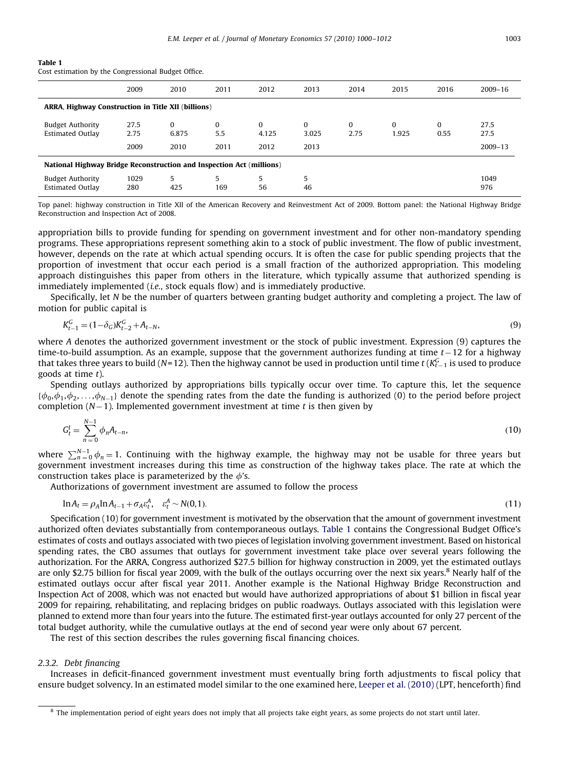#### Table 1

Cost estimation by the Congressional Budget Office.

|                                                                      | 2009                 | 2010                      | 2011             | 2012               | 2013                      | 2014             | 2015              | 2016             | $2009 - 16$                 |
|----------------------------------------------------------------------|----------------------|---------------------------|------------------|--------------------|---------------------------|------------------|-------------------|------------------|-----------------------------|
| ARRA, Highway Construction in Title XII (billions)                   |                      |                           |                  |                    |                           |                  |                   |                  |                             |
| <b>Budget Authority</b><br><b>Estimated Outlay</b>                   | 27.5<br>2.75<br>2009 | $\bf{0}$<br>6.875<br>2010 | 0<br>5.5<br>2011 | 0<br>4.125<br>2012 | $\Omega$<br>3.025<br>2013 | $\bf{0}$<br>2.75 | $\Omega$<br>1.925 | $\Omega$<br>0.55 | 27.5<br>27.5<br>$2009 - 13$ |
| National Highway Bridge Reconstruction and Inspection Act (millions) |                      |                           |                  |                    |                           |                  |                   |                  |                             |
| <b>Budget Authority</b><br><b>Estimated Outlay</b>                   | 1029<br>280          | 5<br>425                  | 5<br>169         | 5<br>56            | 5<br>46                   |                  |                   |                  | 1049<br>976                 |

Top panel: highway construction in Title XII of the American Recovery and Reinvestment Act of 2009. Bottom panel: the National Highway Bridge Reconstruction and Inspection Act of 2008.

appropriation bills to provide funding for spending on government investment and for other non-mandatory spending programs. These appropriations represent something akin to a stock of public investment. The flow of public investment, however, depends on the rate at which actual spending occurs. It is often the case for public spending projects that the proportion of investment that occur each period is a small fraction of the authorized appropriation. This modeling approach distinguishes this paper from others in the literature, which typically assume that authorized spending is immediately implemented (i.e., stock equals flow) and is immediately productive.

Specifically, let N be the number of quarters between granting budget authority and completing a project. The law of motion for public capital is

$$
K_{t-1}^{G} = (1 - \delta_G)K_{t-2}^{G} + A_{t-N},
$$
\n(9)

where A denotes the authorized government investment or the stock of public investment. Expression (9) captures the time-to-build assumption. As an example, suppose that the government authorizes funding at time  $t$  – 12 for a highway that takes three years to build (N=12). Then the highway cannot be used in production until time  $t$  ( $K^G_{t-1}$  is used to produce goods at time t).

Spending outlays authorized by appropriations bills typically occur over time. To capture this, let the sequence  $\{\phi_0,\phi_1,\phi_2,\ldots,\phi_{N-1}\}$  denote the spending rates from the date the funding is authorized (0) to the period before project completion  $(N-1)$ . Implemented government investment at time t is then given by

$$
G_t^I = \sum_{n=0}^{N-1} \phi_n A_{t-n},\tag{10}
$$

where  $\sum_{n=0}^{N-1} \phi_n = 1.$  Continuing with the highway example, the highway may not be usable for three years but government investment increases during this time as construction of the highway takes place. The rate at which the construction takes place is parameterized by the  $\phi$ 's.

Authorizations of government investment are assumed to follow the process

$$
\ln A_t = \rho_A \ln A_{t-1} + \sigma_A \varepsilon_t^A, \quad \varepsilon_t^A \sim N(0, 1). \tag{11}
$$

Specification (10) for government investment is motivated by the observation that the amount of government investment authorized often deviates substantially from contemporaneous outlays. Table 1 contains the Congressional Budget Office's estimates of costs and outlays associated with two pieces of legislation involving government investment. Based on historical spending rates, the CBO assumes that outlays for government investment take place over several years following the authorization. For the ARRA, Congress authorized \$27.5 billion for highway construction in 2009, yet the estimated outlays are only \$2.75 billion for fiscal year 2009, with the bulk of the outlays occurring over the next six years.<sup>8</sup> Nearly half of the estimated outlays occur after fiscal year 2011. Another example is the National Highway Bridge Reconstruction and Inspection Act of 2008, which was not enacted but would have authorized appropriations of about \$1 billion in fiscal year 2009 for repairing, rehabilitating, and replacing bridges on public roadways. Outlays associated with this legislation were planned to extend more than four years into the future. The estimated first-year outlays accounted for only 27 percent of the total budget authority, while the cumulative outlays at the end of second year were only about 67 percent.

The rest of this section describes the rules governing fiscal financing choices.

#### 2.3.2. Debt financing

Increases in deficit-financed government investment must eventually bring forth adjustments to fiscal policy that ensure budget solvency. In an estimated model similar to the one examined here, [Leeper et al. \(2010\)](#page-12-0) (LPT, henceforth) find

<sup>&</sup>lt;sup>8</sup> The implementation period of eight years does not imply that all projects take eight years, as some projects do not start until later.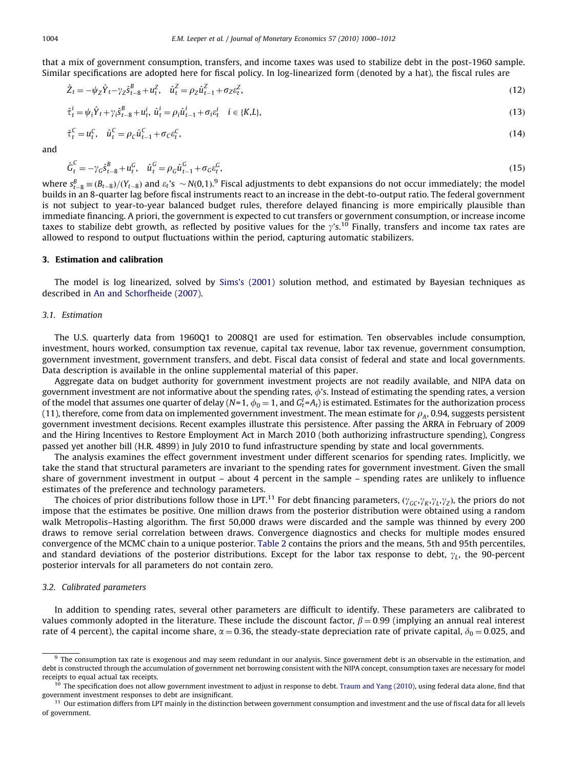that a mix of government consumption, transfers, and income taxes was used to stabilize debt in the post-1960 sample. Similar specifications are adopted here for fiscal policy. In log-linearized form (denoted by a hat), the fiscal rules are

$$
\hat{Z}_t = -\psi_Z \hat{Y}_t - \gamma_Z \hat{S}_{t-8}^B + u_t^Z, \quad \hat{u}_t^Z = \rho_Z \hat{u}_{t-1}^Z + \sigma_Z \varepsilon_t^Z,\tag{12}
$$

$$
\hat{\tau}_t^i = \psi_i \hat{Y}_t + \gamma_i \hat{s}_{t-8}^B + u_t^i, \ \hat{u}_t^i = \rho_i \hat{u}_{t-1}^i + \sigma_i \varepsilon_t^i \quad i \in \{K, L\},\tag{13}
$$

$$
\hat{\tau}_t^{\mathcal{C}} = u_t^{\mathcal{C}}, \quad \hat{u}_t^{\mathcal{C}} = \rho_c \hat{u}_{t-1}^{\mathcal{C}} + \sigma_c \varepsilon_t^{\mathcal{C}},\tag{14}
$$

and

$$
\hat{G}_t^C = -\gamma_G \hat{S}_{t-8}^B + u_t^G, \quad \hat{u}_t^G = \rho_G \hat{u}_{t-1}^G + \sigma_G \varepsilon_t^G,
$$
\n(15)

where  $s_{t-s}^B \equiv (B_{t-s})/(Y_{t-s})$  and  $\varepsilon_t$ 's  $\sim N(0,1)$ .<sup>9</sup> Fiscal adjustments to debt expansions do not occur immediately; the model builds in an 8-quarter lag before fiscal instruments react to an increase in the debt-to-output ratio. The federal government is not subject to year-to-year balanced budget rules, therefore delayed financing is more empirically plausible than immediate financing. A priori, the government is expected to cut transfers or government consumption, or increase income taxes to stabilize debt growth, as reflected by positive values for the  $\gamma$ 's.<sup>10</sup> Finally, transfers and income tax rates are allowed to respond to output fluctuations within the period, capturing automatic stabilizers.

#### 3. Estimation and calibration

The model is log linearized, solved by [Sims's \(2001\)](#page-12-0) solution method, and estimated by Bayesian techniques as described in [An and Schorfheide \(2007\)](#page-11-0).

#### 3.1. Estimation

The U.S. quarterly data from 1960Q1 to 2008Q1 are used for estimation. Ten observables include consumption, investment, hours worked, consumption tax revenue, capital tax revenue, labor tax revenue, government consumption, government investment, government transfers, and debt. Fiscal data consist of federal and state and local governments. Data description is available in the online supplemental material of this paper.

Aggregate data on budget authority for government investment projects are not readily available, and NIPA data on government investment are not informative about the spending rates,  $\phi$ 's. Instead of estimating the spending rates, a version of the model that assumes one quarter of delay (N=1,  $\phi_0$  = 1, and  $G^l_t$ =A<sub>t</sub>) is estimated. Estimates for the authorization process (11), therefore, come from data on implemented government investment. The mean estimate for  $\rho_A$ , 0.94, suggests persistent government investment decisions. Recent examples illustrate this persistence. After passing the ARRA in February of 2009 and the Hiring Incentives to Restore Employment Act in March 2010 (both authorizing infrastructure spending), Congress passed yet another bill (H.R. 4899) in July 2010 to fund infrastructure spending by state and local governments.

The analysis examines the effect government investment under different scenarios for spending rates. Implicitly, we take the stand that structural parameters are invariant to the spending rates for government investment. Given the small share of government investment in output – about 4 percent in the sample – spending rates are unlikely to influence estimates of the preference and technology parameters.

The choices of prior distributions follow those in LPT.<sup>11</sup> For debt financing parameters,  $(\gamma_{GC},\gamma_K,\gamma_L,\gamma_Z)$ , the priors do not impose that the estimates be positive. One million draws from the posterior distribution were obtained using a random walk Metropolis–Hasting algorithm. The first 50,000 draws were discarded and the sample was thinned by every 200 draws to remove serial correlation between draws. Convergence diagnostics and checks for multiple modes ensured convergence of the MCMC chain to a unique posterior. [Table 2](#page-5-0) contains the priors and the means, 5th and 95th percentiles, and standard deviations of the posterior distributions. Except for the labor tax response to debt,  $\gamma_i$ , the 90-percent posterior intervals for all parameters do not contain zero.

### 3.2. Calibrated parameters

In addition to spending rates, several other parameters are difficult to identify. These parameters are calibrated to values commonly adopted in the literature. These include the discount factor,  $\beta = 0.99$  (implying an annual real interest rate of 4 percent), the capital income share,  $\alpha = 0.36$ , the steady-state depreciation rate of private capital,  $\delta_0 = 0.025$ , and

<sup>9</sup> The consumption tax rate is exogenous and may seem redundant in our analysis. Since government debt is an observable in the estimation, and debt is constructed through the accumulation of government net borrowing consistent with the NIPA concept, consumption taxes are necessary for model receipts to equal actual tax receipts.

<sup>&</sup>lt;sup>10</sup> The specification does not allow government investment to adjust in response to debt. [Traum and Yang \(2010\),](#page-12-0) using federal data alone, find that government investment responses to debt are insignificant.

 $11$  Our estimation differs from LPT mainly in the distinction between government consumption and investment and the use of fiscal data for all levels of government.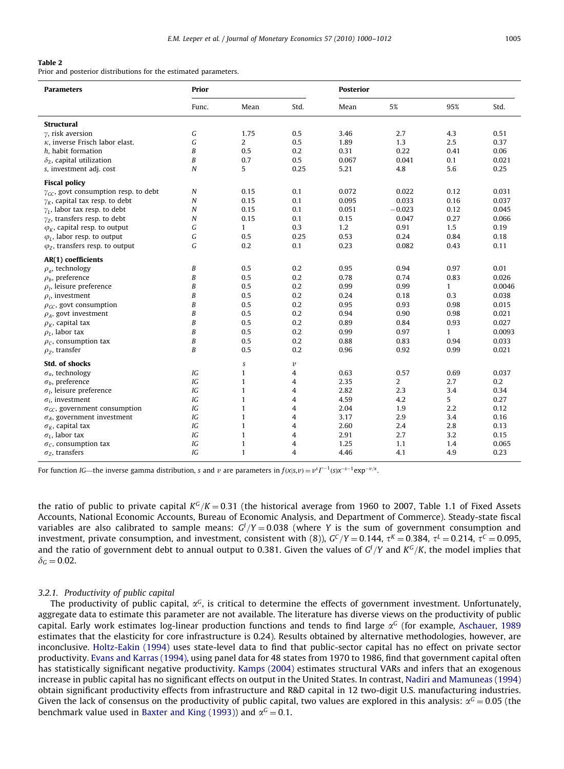#### <span id="page-5-0"></span>Table 2

Prior and posterior distributions for the estimated parameters.

| <b>Parameters</b>                                  | <b>Prior</b>     |                |                         | <b>Posterior</b> |                |              |        |
|----------------------------------------------------|------------------|----------------|-------------------------|------------------|----------------|--------------|--------|
|                                                    | Func.            | Mean           | Std.                    | Mean             | 5%             | 95%          | Std.   |
| <b>Structural</b>                                  |                  |                |                         |                  |                |              |        |
| $\gamma$ , risk aversion                           | G                | 1.75           | 0.5                     | 3.46             | 2.7            | 4.3          | 0.51   |
| $\kappa$ . inverse Frisch labor elast.             | G                | $\overline{2}$ | 0.5                     | 1.89             | 1.3            | 2.5          | 0.37   |
| h. habit formation                                 | B                | 0.5            | 0.2                     | 0.31             | 0.22           | 0.41         | 0.06   |
| $\delta_2$ , capital utilization                   | В                | 0.7            | 0.5                     | 0.067            | 0.041          | 0.1          | 0.021  |
| s, investment adj. cost                            | N                | 5              | 0.25                    | 5.21             | 4.8            | 5.6          | 0.25   |
| <b>Fiscal policy</b>                               |                  |                |                         |                  |                |              |        |
| $\gamma_{GC}$ , govt consumption resp. to debt     | N                | 0.15           | 0.1                     | 0.072            | 0.022          | 0.12         | 0.031  |
| $\gamma_K$ , capital tax resp. to debt             | N                | 0.15           | 0.1                     | 0.095            | 0.033          | 0.16         | 0.037  |
| $\gamma_I$ , labor tax resp. to debt               | N                | 0.15           | 0.1                     | 0.051            | $-0.023$       | 0.12         | 0.045  |
| $\gamma$ <sub>7</sub> , transfers resp. to debt    | $\boldsymbol{N}$ | 0.15           | 0.1                     | 0.15             | 0.047          | 0.27         | 0.066  |
| $\varphi_K$ , capital resp. to output              | G                | $\mathbf{1}$   | 0.3                     | 1.2              | 0.91           | 1.5          | 0.19   |
| $\varphi$ <sub>I</sub> , labor resp. to output     | G                | 0.5            | 0.25                    | 0.53             | 0.24           | 0.84         | 0.18   |
| $\varphi$ <sub>z</sub> , transfers resp. to output | G                | 0.2            | 0.1                     | 0.23             | 0.082          | 0.43         | 0.11   |
| AR(1) coefficients                                 |                  |                |                         |                  |                |              |        |
| $\rho_a$ , technology                              | $\boldsymbol{B}$ | 0.5            | 0.2                     | 0.95             | 0.94           | 0.97         | 0.01   |
| $\rho_h$ , preference                              | B                | 0.5            | 0.2                     | 0.78             | 0.74           | 0.83         | 0.026  |
| $\rho_l$ , leisure preference                      | B                | 0.5            | 0.2                     | 0.99             | 0.99           | $\mathbf{1}$ | 0.0046 |
| $\rho_i$ , investment                              | $\boldsymbol{B}$ | 0.5            | 0.2                     | 0.24             | 0.18           | 0.3          | 0.038  |
| $\rho_{cc}$ , govt consumption                     | B                | 0.5            | 0.2                     | 0.95             | 0.93           | 0.98         | 0.015  |
| $\rho_A$ , govt investment                         | B                | 0.5            | 0.2                     | 0.94             | 0.90           | 0.98         | 0.021  |
| $\rho_K$ , capital tax                             | B                | 0.5            | 0.2                     | 0.89             | 0.84           | 0.93         | 0.027  |
| $\rho_L$ , labor tax                               | $\boldsymbol{B}$ | 0.5            | 0.2                     | 0.99             | 0.97           | $\mathbf{1}$ | 0.0093 |
| $\rho_C$ , consumption tax                         | B                | 0.5            | 0.2                     | 0.88             | 0.83           | 0.94         | 0.033  |
| $\rho_z$ , transfer                                | B                | 0.5            | 0.2                     | 0.96             | 0.92           | 0.99         | 0.021  |
| Std. of shocks                                     |                  | $\sqrt{s}$     | $\boldsymbol{\upsilon}$ |                  |                |              |        |
| $\sigma_a$ , technology                            | IG               | 1              | 4                       | 0.63             | 0.57           | 0.69         | 0.037  |
| $\sigma_b$ , preference                            | IG               | $\mathbf{1}$   | 4                       | 2.35             | $\overline{2}$ | 2.7          | 0.2    |
| $\sigma_l$ , leisure preference                    | IG               | $\mathbf{1}$   | 4                       | 2.82             | 2.3            | 3.4          | 0.34   |
| $\sigma_i$ , investment                            | IG               | $\mathbf{1}$   | 4                       | 4.59             | 4.2            | 5            | 0.27   |
| $\sigma_{GC}$ , government consumption             | IG               | $\mathbf{1}$   | 4                       | 2.04             | 1.9            | 2.2          | 0.12   |
| $\sigma_A$ , government investment                 | IG               | $\mathbf{1}$   | 4                       | 3.17             | 2.9            | 3.4          | 0.16   |
| $\sigma_K$ , capital tax                           | IG               | $\mathbf{1}$   | 4                       | 2.60             | 2.4            | 2.8          | 0.13   |
| $\sigma_L$ , labor tax                             | IG               | $\mathbf{1}$   | 4                       | 2.91             | 2.7            | 3.2          | 0.15   |
| $\sigma_C$ , consumption tax                       | IG               | $\mathbf{1}$   | 4                       | 1.25             | 1.1            | 1.4          | 0.065  |
| $\sigma_Z$ , transfers                             | IG               | $\mathbf{1}$   | 4                       | 4.46             | 4.1            | 4.9          | 0.23   |

For function IG—the inverse gamma distribution, s and v are parameters in  $f(x|s,v) = v^s \Gamma^{-1}(s)x^{-s-1} \exp^{-v/x}$ .

the ratio of public to private capital  $K^G/K = 0.31$  (the historical average from 1960 to 2007, Table 1.1 of Fixed Assets Accounts, National Economic Accounts, Bureau of Economic Analysis, and Department of Commerce). Steady-state fiscal variables are also calibrated to sample means:  $G'/Y = 0.038$  (where Y is the sum of government consumption and investment, private consumption, and investment, consistent with (8)),  $G<sup>C</sup>/Y = 0.144$ ,  $\tau<sup>K</sup> = 0.384$ ,  $\tau<sup>L</sup> = 0.214$ ,  $\tau<sup>C</sup> = 0.095$ , and the ratio of government debt to annual output to 0.381. Given the values of  $G/Y$  and  $K^G/K$ , the model implies that  $\delta$ <sub>G</sub> = 0.02.

## 3.2.1. Productivity of public capital

The productivity of public capital,  $\alpha^G$ , is critical to determine the effects of government investment. Unfortunately, aggregate data to estimate this parameter are not available. The literature has diverse views on the productivity of public capital. Early work estimates log-linear production functions and tends to find large  $\alpha^G$  (for example, [Aschauer, 1989](#page-11-0) estimates that the elasticity for core infrastructure is 0.24). Results obtained by alternative methodologies, however, are inconclusive. [Holtz-Eakin \(1994\)](#page-11-0) uses state-level data to find that public-sector capital has no effect on private sector productivity. [Evans and Karras \(1994\)](#page-11-0), using panel data for 48 states from 1970 to 1986, find that government capital often has statistically significant negative productivity. [Kamps \(2004\)](#page-11-0) estimates structural VARs and infers that an exogenous increase in public capital has no significant effects on output in the United States. In contrast, [Nadiri and Mamuneas \(1994\)](#page-12-0) obtain significant productivity effects from infrastructure and R&D capital in 12 two-digit U.S. manufacturing industries. Given the lack of consensus on the productivity of public capital, two values are explored in this analysis:  $\alpha^{\bar{G}} = 0.05$  (the benchmark value used in [Baxter and King \(1993\)\)](#page-11-0) and  $\alpha^G = 0.1$ .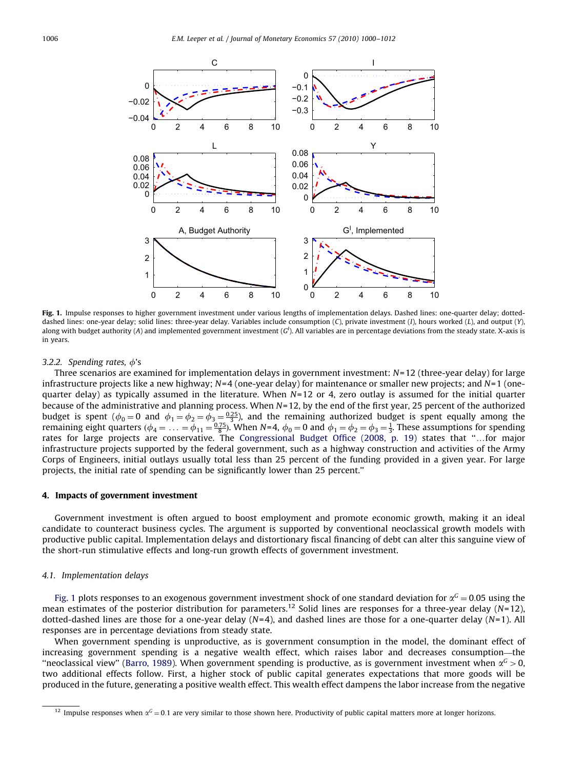<span id="page-6-0"></span>

Fig. 1. Impulse responses to higher government investment under various lengths of implementation delays. Dashed lines: one-quarter delay; dotteddashed lines: one-year delay; solid lines: three-year delay. Variables include consumption  $(C)$ , private investment  $(I)$ , hours worked  $(L)$ , and output  $(Y)$ , along with budget authority (A) and implemented government investment ( $G<sup>I</sup>$ ). All variables are in percentage deviations from the steady state. X-axis is in years.

#### 3.2.2. Spending rates,  $\phi$ 's

Three scenarios are examined for implementation delays in government investment:  $N=12$  (three-year delay) for large infrastructure projects like a new highway;  $N=4$  (one-year delay) for maintenance or smaller new projects; and  $N=1$  (onequarter delay) as typically assumed in the literature. When  $N=12$  or 4, zero outlay is assumed for the initial quarter because of the administrative and planning process. When N=12, by the end of the first year, 25 percent of the authorized budget is spent ( $\phi_0 = 0$  and  $\phi_1 = \phi_2 = \phi_3 = \frac{0.25}{3}$ ), and the remaining authorized budget is spent equally among the remaining eight quarters ( $\phi_4 = \ldots = \phi_{11} = \frac{0.75}{8}$ ). When N=4,  $\phi_0 = 0$  and  $\phi_1 = \phi_2 = \phi_3 = \frac{1}{3}$ . These assumptions for spending rates for large projects are conservative. The [Congressional Budget Office \(2008, p. 19\)](#page-11-0) states that "...for major infrastructure projects supported by the federal government, such as a highway construction and activities of the Army Corps of Engineers, initial outlays usually total less than 25 percent of the funding provided in a given year. For large projects, the initial rate of spending can be significantly lower than 25 percent.''

# 4. Impacts of government investment

Government investment is often argued to boost employment and promote economic growth, making it an ideal candidate to counteract business cycles. The argument is supported by conventional neoclassical growth models with productive public capital. Implementation delays and distortionary fiscal financing of debt can alter this sanguine view of the short-run stimulative effects and long-run growth effects of government investment.

# 4.1. Implementation delays

Fig. 1 plots responses to an exogenous government investment shock of one standard deviation for  $\alpha^G = 0.05$  using the mean estimates of the posterior distribution for parameters.<sup>12</sup> Solid lines are responses for a three-year delay (N=12), dotted-dashed lines are those for a one-year delay  $(N=4)$ , and dashed lines are those for a one-quarter delay  $(N=1)$ . All responses are in percentage deviations from steady state.

When government spending is unproductive, as is government consumption in the model, the dominant effect of increasing government spending is a negative wealth effect, which raises labor and decreases consumption—the "neoclassical view" [\(Barro, 1989](#page-11-0)). When government spending is productive, as is government investment when  $\alpha^G > 0$ , two additional effects follow. First, a higher stock of public capital generates expectations that more goods will be produced in the future, generating a positive wealth effect. This wealth effect dampens the labor increase from the negative

<sup>&</sup>lt;sup>12</sup> Impulse responses when  $\alpha^G = 0.1$  are very similar to those shown here. Productivity of public capital matters more at longer horizons.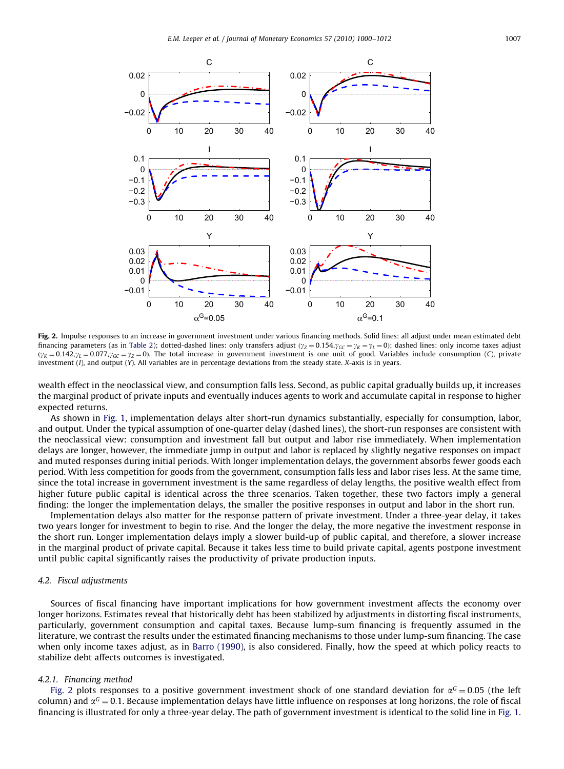<span id="page-7-0"></span>

Fig. 2. Impulse responses to an increase in government investment under various financing methods. Solid lines: all adjust under mean estimated debt financing parameters (as in [Table 2\)](#page-5-0); dotted-dashed lines: only transfers adjust  $(\gamma_Z = 0.154, \gamma_{GC} = \gamma_K = \gamma_L = 0)$ ; dashed lines: only income taxes adjust  $(\gamma_K = 0.142, \gamma_L = 0.077, \gamma_{GC} = \gamma_Z = 0)$ . The total increase in government investment is one unit of good. Variables include consumption (C), private investment (I), and output (Y). All variables are in percentage deviations from the steady state. X-axis is in years.

wealth effect in the neoclassical view, and consumption falls less. Second, as public capital gradually builds up, it increases the marginal product of private inputs and eventually induces agents to work and accumulate capital in response to higher expected returns.

As shown in [Fig. 1](#page-6-0), implementation delays alter short-run dynamics substantially, especially for consumption, labor, and output. Under the typical assumption of one-quarter delay (dashed lines), the short-run responses are consistent with the neoclassical view: consumption and investment fall but output and labor rise immediately. When implementation delays are longer, however, the immediate jump in output and labor is replaced by slightly negative responses on impact and muted responses during initial periods. With longer implementation delays, the government absorbs fewer goods each period. With less competition for goods from the government, consumption falls less and labor rises less. At the same time, since the total increase in government investment is the same regardless of delay lengths, the positive wealth effect from higher future public capital is identical across the three scenarios. Taken together, these two factors imply a general finding: the longer the implementation delays, the smaller the positive responses in output and labor in the short run.

Implementation delays also matter for the response pattern of private investment. Under a three-year delay, it takes two years longer for investment to begin to rise. And the longer the delay, the more negative the investment response in the short run. Longer implementation delays imply a slower build-up of public capital, and therefore, a slower increase in the marginal product of private capital. Because it takes less time to build private capital, agents postpone investment until public capital significantly raises the productivity of private production inputs.

#### 4.2. Fiscal adjustments

Sources of fiscal financing have important implications for how government investment affects the economy over longer horizons. Estimates reveal that historically debt has been stabilized by adjustments in distorting fiscal instruments, particularly, government consumption and capital taxes. Because lump-sum financing is frequently assumed in the literature, we contrast the results under the estimated financing mechanisms to those under lump-sum financing. The case when only income taxes adjust, as in [Barro \(1990\)](#page-11-0), is also considered. Finally, how the speed at which policy reacts to stabilize debt affects outcomes is investigated.

#### 4.2.1. Financing method

Fig. 2 plots responses to a positive government investment shock of one standard deviation for  $\alpha^G = 0.05$  (the left column) and  $\alpha^G = 0.1$ . Because implementation delays have little influence on responses at long horizons, the role of fiscal financing is illustrated for only a three-year delay. The path of government investment is identical to the solid line in [Fig. 1](#page-6-0).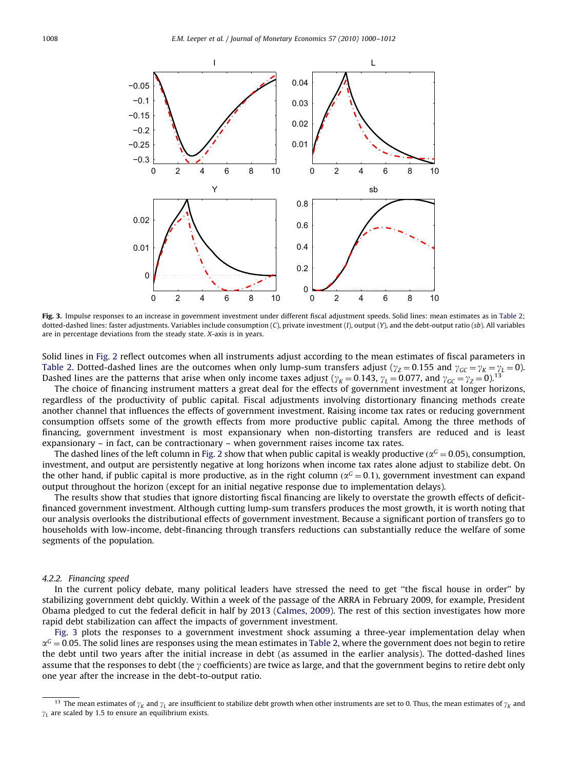<span id="page-8-0"></span>

Fig. 3. Impulse responses to an increase in government investment under different fiscal adjustment speeds. Solid lines: mean estimates as in [Table 2;](#page-5-0) dotted-dashed lines: faster adjustments. Variables include consumption (C), private investment (I), output (Y), and the debt-output ratio (sb). All variables are in percentage deviations from the steady state. X-axis is in years.

Solid lines in [Fig. 2](#page-7-0) reflect outcomes when all instruments adjust according to the mean estimates of fiscal parameters in [Table 2](#page-5-0). Dotted-dashed lines are the outcomes when only lump-sum transfers adjust ( $\gamma_Z = 0.155$  and  $\gamma_{GC} = \gamma_K = \gamma_L = 0$ ). Dashed lines are the patterns that arise when only income taxes adjust ( $\gamma_K = 0.143$ ,  $\gamma_L = 0.077$ , and  $\gamma_{GC} = \gamma_Z = 0$ ).<sup>13</sup>

The choice of financing instrument matters a great deal for the effects of government investment at longer horizons, regardless of the productivity of public capital. Fiscal adjustments involving distortionary financing methods create another channel that influences the effects of government investment. Raising income tax rates or reducing government consumption offsets some of the growth effects from more productive public capital. Among the three methods of financing, government investment is most expansionary when non-distorting transfers are reduced and is least expansionary – in fact, can be contractionary – when government raises income tax rates.

The dashed lines of the left column in [Fig. 2](#page-7-0) show that when public capital is weakly productive ( $\alpha^G = 0.05$ ), consumption, investment, and output are persistently negative at long horizons when income tax rates alone adjust to stabilize debt. On the other hand, if public capital is more productive, as in the right column  $(\alpha^G = 0.1)$ , government investment can expand output throughout the horizon (except for an initial negative response due to implementation delays).

The results show that studies that ignore distorting fiscal financing are likely to overstate the growth effects of deficitfinanced government investment. Although cutting lump-sum transfers produces the most growth, it is worth noting that our analysis overlooks the distributional effects of government investment. Because a significant portion of transfers go to households with low-income, debt-financing through transfers reductions can substantially reduce the welfare of some segments of the population.

## 4.2.2. Financing speed

In the current policy debate, many political leaders have stressed the need to get ''the fiscal house in order'' by stabilizing government debt quickly. Within a week of the passage of the ARRA in February 2009, for example, President Obama pledged to cut the federal deficit in half by 2013 [\(Calmes, 2009\)](#page-11-0). The rest of this section investigates how more rapid debt stabilization can affect the impacts of government investment.

Fig. 3 plots the responses to a government investment shock assuming a three-year implementation delay when  $\alpha$ <sup>G</sup> = 0.05. The solid lines are responses using the mean estimates in [Table 2](#page-5-0), where the government does not begin to retire the debt until two years after the initial increase in debt (as assumed in the earlier analysis). The dotted-dashed lines assume that the responses to debt (the  $\gamma$  coefficients) are twice as large, and that the government begins to retire debt only one year after the increase in the debt-to-output ratio.

<sup>&</sup>lt;sup>13</sup> The mean estimates of  $\gamma_K$  and  $\gamma_L$  are insufficient to stabilize debt growth when other instruments are set to 0. Thus, the mean estimates of  $\gamma_K$  and  $\gamma_L$  are scaled by 1.5 to ensure an equilibrium exists.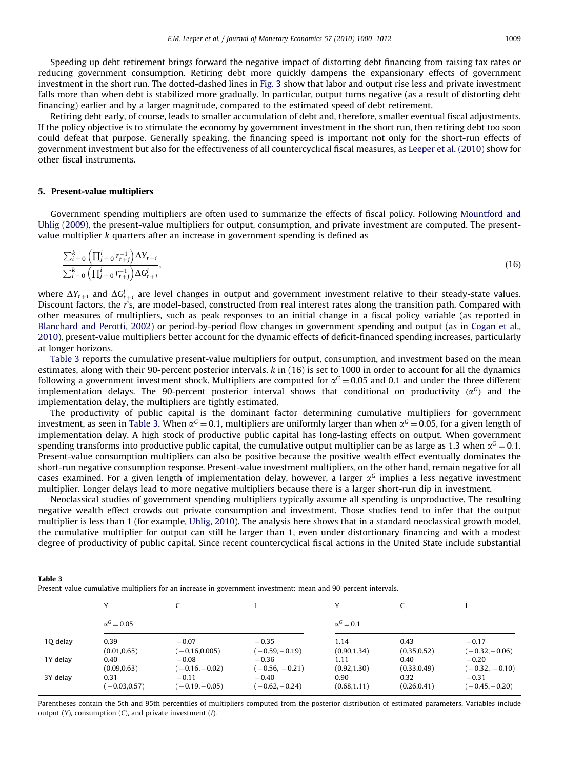<span id="page-9-0"></span>Speeding up debt retirement brings forward the negative impact of distorting debt financing from raising tax rates or reducing government consumption. Retiring debt more quickly dampens the expansionary effects of government investment in the short run. The dotted-dashed lines in [Fig. 3](#page-8-0) show that labor and output rise less and private investment falls more than when debt is stabilized more gradually. In particular, output turns negative (as a result of distorting debt financing) earlier and by a larger magnitude, compared to the estimated speed of debt retirement.

Retiring debt early, of course, leads to smaller accumulation of debt and, therefore, smaller eventual fiscal adjustments. If the policy objective is to stimulate the economy by government investment in the short run, then retiring debt too soon could defeat that purpose. Generally speaking, the financing speed is important not only for the short-run effects of government investment but also for the effectiveness of all countercyclical fiscal measures, as [Leeper et al. \(2010\)](#page-12-0) show for other fiscal instruments.

### 5. Present-value multipliers

Government spending multipliers are often used to summarize the effects of fiscal policy. Following [Mountford and](#page-12-0) [Uhlig \(2009\)](#page-12-0), the present-value multipliers for output, consumption, and private investment are computed. The presentvalue multiplier k quarters after an increase in government spending is defined as

$$
\frac{\sum_{i=0}^{k} \left( \prod_{j=0}^{i} r_{t+j}^{-1} \right) \Delta Y_{t+i}}{\sum_{i=0}^{k} \left( \prod_{j=0}^{i} r_{t+j}^{-1} \right) \Delta G_{t+i}^{I}},
$$
\n(16)

where  $\Delta Y_{t+i}$  and  $\Delta G^I_{t+i}$  are level changes in output and government investment relative to their steady-state values. Discount factors, the r's, are model-based, constructed from real interest rates along the transition path. Compared with other measures of multipliers, such as peak responses to an initial change in a fiscal policy variable (as reported in [Blanchard and Perotti, 2002\)](#page-11-0) or period-by-period flow changes in government spending and output (as in [Cogan et al.,](#page-11-0) [2010](#page-11-0)), present-value multipliers better account for the dynamic effects of deficit-financed spending increases, particularly at longer horizons.

Table 3 reports the cumulative present-value multipliers for output, consumption, and investment based on the mean estimates, along with their 90-percent posterior intervals. k in (16) is set to 1000 in order to account for all the dynamics following a government investment shock. Multipliers are computed for  $\alpha^G = 0.05$  and 0.1 and under the three different implementation delays. The 90-percent posterior interval shows that conditional on productivity  $(\alpha^G)$  and the implementation delay, the multipliers are tightly estimated.

The productivity of public capital is the dominant factor determining cumulative multipliers for government investment, as seen in Table 3. When  $\alpha^G = 0.1$ , multipliers are uniformly larger than when  $\alpha^G = 0.05$ , for a given length of implementation delay. A high stock of productive public capital has long-lasting effects on output. When government spending transforms into productive public capital, the cumulative output multiplier can be as large as 1.3 when  $\alpha^G = 0.1$ . Present-value consumption multipliers can also be positive because the positive wealth effect eventually dominates the short-run negative consumption response. Present-value investment multipliers, on the other hand, remain negative for all cases examined. For a given length of implementation delay, however, a larger  $\alpha^G$  implies a less negative investment multiplier. Longer delays lead to more negative multipliers because there is a larger short-run dip in investment.

Neoclassical studies of government spending multipliers typically assume all spending is unproductive. The resulting negative wealth effect crowds out private consumption and investment. Those studies tend to infer that the output multiplier is less than 1 (for example, [Uhlig, 2010\)](#page-12-0). The analysis here shows that in a standard neoclassical growth model, the cumulative multiplier for output can still be larger than 1, even under distortionary financing and with a modest degree of productivity of public capital. Since recent countercyclical fiscal actions in the United State include substantial

| aı<br>п<br>. . | ı |  |
|----------------|---|--|
|                |   |  |

Present-value cumulative multipliers for an increase in government investment: mean and 90-percent intervals.

|          | Y                 |                  |                  | Y              |              |                  |
|----------|-------------------|------------------|------------------|----------------|--------------|------------------|
|          | $\alpha^G = 0.05$ |                  |                  | $\alpha^G=0.1$ |              |                  |
| 10 delay | 0.39              | $-0.07$          | $-0.35$          | 1.14           | 0.43         | $-0.17$          |
|          | (0.01, 0.65)      | $(-0.16, 0.005)$ | $(-0.59,-0.19)$  | (0.90, 1.34)   | (0.35, 0.52) | $(-0.32,-0.06)$  |
| 1Y delay | 0.40              | $-0.08$          | $-0.36$          | 1.11           | 0.40         | $-0.20$          |
|          | (0.09, 0.63)      | $(-0.16,-0.02)$  | $(-0.56, -0.21)$ | (0.92, 1.30)   | (0.33, 0.49) | $(-0.32, -0.10)$ |
| 3Y delay | 0.31              | $-0.11$          | $-0.40$          | 0.90           | 0.32         | $-0.31$          |
|          | $(-0.03, 0.57)$   | $(-0.19,-0.05)$  | $(-0.62,-0.24)$  | (0.68, 1.11)   | (0.26, 0.41) | $(-0.45,-0.20)$  |

Parentheses contain the 5th and 95th percentiles of multipliers computed from the posterior distribution of estimated parameters. Variables include output  $(Y)$ , consumption  $(C)$ , and private investment  $(I)$ .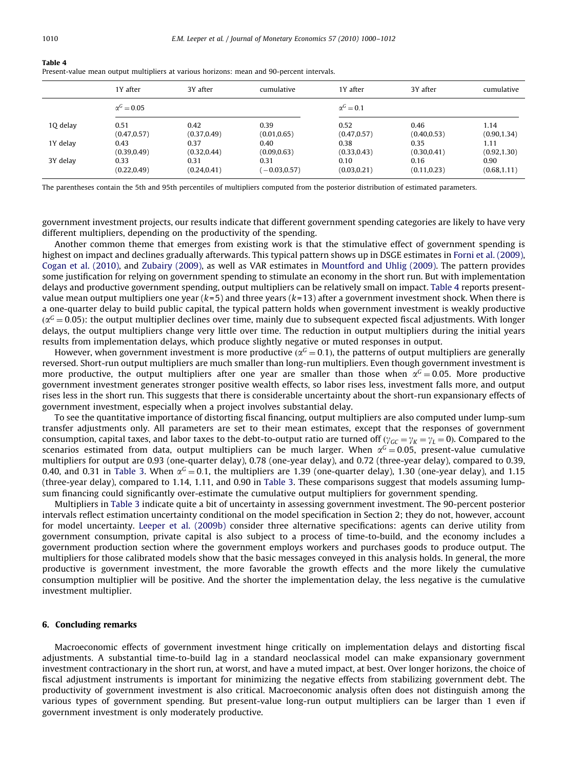# 1Y after 3Y after cumulative 1Y after 3Y after cumulative  $\alpha^G = 0.05$  and  $\alpha^G = 0.1$ 1Q delay 0.51 0.42 0.39 0.52 0.46 1.14  $(0.47, 0.57)$   $(0.37, 0.49)$   $(0.01, 0.65)$   $(0.47, 0.57)$   $(0.40, 0.53)$   $(0.90, 1.34)$ 1Y delay 0.43 0.37 0.40 0.38 0.35 1.11  $(0.39,0.49)$   $(0.32,0.44)$   $(0.09,0.63)$   $(0.33,0.43)$   $(0.30,0.41)$   $(0.92,1.30)$ 3Y delay 0.33 0.31 0.31 0.10 0.16 0.90  $(0.22, 0.49)$   $(0.24, 0.41)$   $(-0.03, 0.57)$  $(0.03,0.21)$   $(0.11,0.23)$   $(0.68,1.11)$

# Table 4

Present-value mean output multipliers at various horizons: mean and 90-percent intervals.

The parentheses contain the 5th and 95th percentiles of multipliers computed from the posterior distribution of estimated parameters.

government investment projects, our results indicate that different government spending categories are likely to have very different multipliers, depending on the productivity of the spending.

Another common theme that emerges from existing work is that the stimulative effect of government spending is highest on impact and declines gradually afterwards. This typical pattern shows up in DSGE estimates in [Forni et al. \(2009\)](#page-11-0), [Cogan et al. \(2010\),](#page-11-0) and [Zubairy \(2009\),](#page-12-0) as well as VAR estimates in [Mountford and Uhlig \(2009\)](#page-12-0). The pattern provides some justification for relying on government spending to stimulate an economy in the short run. But with implementation delays and productive government spending, output multipliers can be relatively small on impact. Table 4 reports presentvalue mean output multipliers one year ( $k=5$ ) and three years ( $k=13$ ) after a government investment shock. When there is a one-quarter delay to build public capital, the typical pattern holds when government investment is weakly productive  $\alpha^G = 0.05$ ); the output multiplier declines over time, mainly due to subsequent expected fiscal adjustments. With longer delays, the output multipliers change very little over time. The reduction in output multipliers during the initial years results from implementation delays, which produce slightly negative or muted responses in output.

However, when government investment is more productive ( $\alpha$ <sup>C</sup> = 0.1), the patterns of output multipliers are generally reversed. Short-run output multipliers are much smaller than long-run multipliers. Even though government investment is more productive, the output multipliers after one year are smaller than those when  $\alpha^G = 0.05$ . More productive government investment generates stronger positive wealth effects, so labor rises less, investment falls more, and output rises less in the short run. This suggests that there is considerable uncertainty about the short-run expansionary effects of government investment, especially when a project involves substantial delay.

To see the quantitative importance of distorting fiscal financing, output multipliers are also computed under lump-sum transfer adjustments only. All parameters are set to their mean estimates, except that the responses of government consumption, capital taxes, and labor taxes to the debt-to-output ratio are turned off  $(\gamma_{GC} = \gamma_K = \gamma_L = 0)$ . Compared to the scenarios estimated from data, output multipliers can be much larger. When  $\alpha^G = 0.05$ , present-value cumulative multipliers for output are 0.93 (one-quarter delay), 0.78 (one-year delay), and 0.72 (three-year delay), compared to 0.39, 0.40, and 0.31 in [Table 3](#page-9-0). When  $\alpha^G = 0.1$ , the multipliers are 1.39 (one-quarter delay), 1.30 (one-year delay), and 1.15 (three-year delay), compared to 1.14, 1.11, and 0.90 in [Table 3](#page-9-0). These comparisons suggest that models assuming lumpsum financing could significantly over-estimate the cumulative output multipliers for government spending.

Multipliers in [Table 3](#page-9-0) indicate quite a bit of uncertainty in assessing government investment. The 90-percent posterior intervals reflect estimation uncertainty conditional on the model specification in Section 2; they do not, however, account for model uncertainty. [Leeper et al. \(2009b\)](#page-12-0) consider three alternative specifications: agents can derive utility from government consumption, private capital is also subject to a process of time-to-build, and the economy includes a government production section where the government employs workers and purchases goods to produce output. The multipliers for those calibrated models show that the basic messages conveyed in this analysis holds. In general, the more productive is government investment, the more favorable the growth effects and the more likely the cumulative consumption multiplier will be positive. And the shorter the implementation delay, the less negative is the cumulative investment multiplier.

#### 6. Concluding remarks

Macroeconomic effects of government investment hinge critically on implementation delays and distorting fiscal adjustments. A substantial time-to-build lag in a standard neoclassical model can make expansionary government investment contractionary in the short run, at worst, and have a muted impact, at best. Over longer horizons, the choice of fiscal adjustment instruments is important for minimizing the negative effects from stabilizing government debt. The productivity of government investment is also critical. Macroeconomic analysis often does not distinguish among the various types of government spending. But present-value long-run output multipliers can be larger than 1 even if government investment is only moderately productive.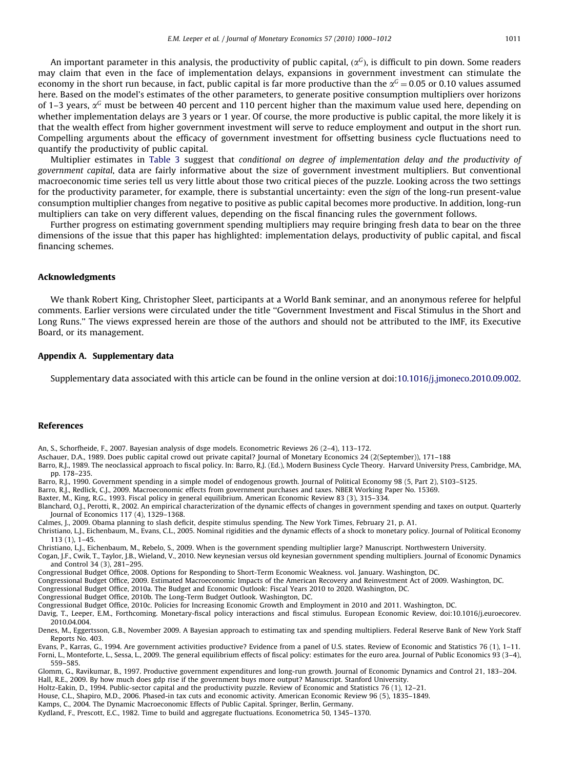<span id="page-11-0"></span>An important parameter in this analysis, the productivity of public capital,  $(\alpha^G)$ , is difficult to pin down. Some readers may claim that even in the face of implementation delays, expansions in government investment can stimulate the economy in the short run because, in fact, public capital is far more productive than the  $\alpha^C = 0.05$  or 0.10 values assumed here. Based on the model's estimates of the other parameters, to generate positive consumption multipliers over horizons of 1–3 years,  $\alpha^G$  must be between 40 percent and 110 percent higher than the maximum value used here, depending on whether implementation delays are 3 years or 1 year. Of course, the more productive is public capital, the more likely it is that the wealth effect from higher government investment will serve to reduce employment and output in the short run. Compelling arguments about the efficacy of government investment for offsetting business cycle fluctuations need to quantify the productivity of public capital.

Multiplier estimates in [Table 3](#page-9-0) suggest that conditional on degree of implementation delay and the productivity of government capital, data are fairly informative about the size of government investment multipliers. But conventional macroeconomic time series tell us very little about those two critical pieces of the puzzle. Looking across the two settings for the productivity parameter, for example, there is substantial uncertainty: even the sign of the long-run present-value consumption multiplier changes from negative to positive as public capital becomes more productive. In addition, long-run multipliers can take on very different values, depending on the fiscal financing rules the government follows.

Further progress on estimating government spending multipliers may require bringing fresh data to bear on the three dimensions of the issue that this paper has highlighted: implementation delays, productivity of public capital, and fiscal financing schemes.

#### Acknowledgments

We thank Robert King, Christopher Sleet, participants at a World Bank seminar, and an anonymous referee for helpful comments. Earlier versions were circulated under the title ''Government Investment and Fiscal Stimulus in the Short and Long Runs.'' The views expressed herein are those of the authors and should not be attributed to the IMF, its Executive Board, or its management.

### Appendix A. Supplementary data

Supplementary data associated with this article can be found in the online version at doi:<10.1016/j.jmoneco.2010.09.002>.

### References

An, S., Schorfheide, F., 2007. Bayesian analysis of dsge models. Econometric Reviews 26 (2–4), 113–172.

- Aschauer, D.A., 1989. Does public capital crowd out private capital? Journal of Monetary Economics 24 (2(September)), 171–188
- Barro, R.J., 1989. The neoclassical approach to fiscal policy. In: Barro, R.J. (Ed.), Modern Business Cycle Theory. Harvard University Press, Cambridge, MA, pp. 178–235.
- Barro, R.J., 1990. Government spending in a simple model of endogenous growth. Journal of Political Economy 98 (5, Part 2), S103–S125.
- Barro, R.J., Redlick, C.J., 2009. Macroeconomic effects from government purchases and taxes. NBER Working Paper No. 15369.
- Baxter, M., King, R.G., 1993. Fiscal policy in general equilibrium. American Economic Review 83 (3), 315–334.
- Blanchard, O.J., Perotti, R., 2002. An empirical characterization of the dynamic effects of changes in government spending and taxes on output. Quarterly Journal of Economics 117 (4), 1329–1368.
- Calmes, J., 2009. Obama planning to slash deficit, despite stimulus spending. The New York Times, February 21, p. A1.
- Christiano, L.J., Eichenbaum, M., Evans, C.L., 2005. Nominal rigidities and the dynamic effects of a shock to monetary policy. Journal of Political Economy 113 (1), 1–45.
- Christiano, L.J., Eichenbaum, M., Rebelo, S., 2009. When is the government spending multiplier large? Manuscript. Northwestern University.
- Cogan, J.F., Cwik, T., Taylor, J.B., Wieland, V., 2010. New keynesian versus old keynesian government spending multipliers. Journal of Economic Dynamics and Control 34 (3), 281–295.
- Congressional Budget Office, 2008. Options for Responding to Short-Term Economic Weakness. vol. January. Washington, DC.
- Congressional Budget Office, 2009. Estimated Macroeconomic Impacts of the American Recovery and Reinvestment Act of 2009. Washington, DC.
- Congressional Budget Office, 2010a. The Budget and Economic Outlook: Fiscal Years 2010 to 2020. Washington, DC.
- Congressional Budget Office, 2010b. The Long-Term Budget Outlook. Washington, DC.
- Congressional Budget Office, 2010c. Policies for Increasing Economic Growth and Employment in 2010 and 2011. Washington, DC.
- Davig, T., Leeper, E.M., Forthcoming. Monetary-fiscal policy interactions and fiscal stimulus. European Economic Review, doi:[10.1016/j.euroecorev.](10.1016/j.euroecorev.2010.04.004) [2010.04.004](10.1016/j.euroecorev.2010.04.004).
- Denes, M., Eggertsson, G.B., November 2009. A Bayesian approach to estimating tax and spending multipliers. Federal Reserve Bank of New York Staff Reports No. 403.
- Evans, P., Karras, G., 1994. Are government activities productive? Evidence from a panel of U.S. states. Review of Economic and Statistics 76 (1), 1–11. Forni, L., Monteforte, L., Sessa, L., 2009. The general equilibrium effects of fiscal policy: estimates for the euro area. Journal of Public Economics 93 (3–4), 559–585.
- Glomm, G., Ravikumar, B., 1997. Productive government expenditures and long-run growth. Journal of Economic Dynamics and Control 21, 183–204. Hall, R.E., 2009. By how much does gdp rise if the government buys more output? Manuscript. Stanford University.
- Holtz-Eakin, D., 1994. Public-sector capital and the productivity puzzle. Review of Economic and Statistics 76 (1), 12–21.
- House, C.L., Shapiro, M.D., 2006. Phased-in tax cuts and economic activity. American Economic Review 96 (5), 1835–1849.

Kamps, C., 2004. The Dynamic Macroeconomic Effects of Public Capital. Springer, Berlin, Germany.

Kydland, F., Prescott, E.C., 1982. Time to build and aggregate fluctuations. Econometrica 50, 1345–1370.